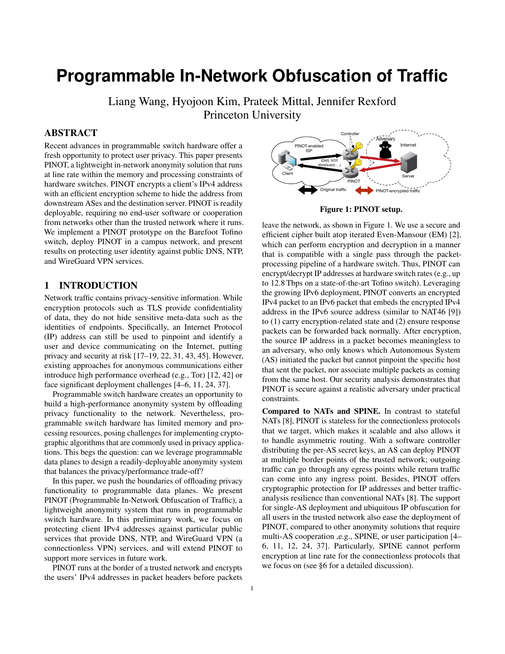# **Programmable In-Network Obfuscation of Traffic**

Liang Wang, Hyojoon Kim, Prateek Mittal, Jennifer Rexford Princeton University

# ABSTRACT

Recent advances in programmable switch hardware offer a fresh opportunity to protect user privacy. This paper presents PINOT, a lightweight in-network anonymity solution that runs at line rate within the memory and processing constraints of hardware switches. PINOT encrypts a client's IPv4 address with an efficient encryption scheme to hide the address from downstream ASes and the destination server. PINOT is readily deployable, requiring no end-user software or cooperation from networks other than the trusted network where it runs. We implement a PINOT prototype on the Barefoot Tofino switch, deploy PINOT in a campus network, and present results on protecting user identity against public DNS, NTP, and WireGuard VPN services.

## 1 INTRODUCTION

Network traffic contains privacy-sensitive information. While encryption protocols such as TLS provide confidentiality of data, they do not hide sensitive meta-data such as the identities of endpoints. Specifically, an Internet Protocol (IP) address can still be used to pinpoint and identify a user and device communicating on the Internet, putting privacy and security at risk [17–19, 22, 31, 43, 45]. However, existing approaches for anonymous communications either introduce high performance overhead (e.g., Tor) [12, 42] or face significant deployment challenges [4–6, 11, 24, 37].

Programmable switch hardware creates an opportunity to build a high-performance anonymity system by offloading privacy functionality to the network. Nevertheless, programmable switch hardware has limited memory and processing resources, posing challenges for implementing cryptographic algorithms that are commonly used in privacy applications. This begs the question: can we leverage programmable data planes to design a readily-deployable anonymity system that balances the privacy/performance trade-off?

In this paper, we push the boundaries of offloading privacy functionality to programmable data planes. We present PINOT (Programmable In-Network Obfuscation of Traffic), a lightweight anonymity system that runs in programmable switch hardware. In this preliminary work, we focus on protecting client IPv4 addresses against particular public services that provide DNS, NTP, and WireGuard VPN (a connectionless VPN) services, and will extend PINOT to support more services in future work.

PINOT runs at the border of a trusted network and encrypts the users' IPv4 addresses in packet headers before packets



Figure 1: PINOT setup.

leave the network, as shown in Figure 1. We use a secure and efficient cipher built atop iterated Even-Mansour (EM) [2], which can perform encryption and decryption in a manner that is compatible with a single pass through the packetprocessing pipeline of a hardware switch. Thus, PINOT can encrypt/decrypt IP addresses at hardware switch rates (e.g., up to 12.8 Tbps on a state-of-the-art Tofino switch). Leveraging the growing IPv6 deployment, PINOT converts an encrypted IPv4 packet to an IPv6 packet that embeds the encrypted IPv4 address in the IPv6 source address (similar to NAT46 [9]) to (1) carry encryption-related state and (2) ensure response packets can be forwarded back normally. After encryption, the source IP address in a packet becomes meaningless to an adversary, who only knows which Autonomous System (AS) initiated the packet but cannot pinpoint the specific host that sent the packet, nor associate multiple packets as coming from the same host. Our security analysis demonstrates that PINOT is secure against a realistic adversary under practical constraints.

Compared to NATs and SPINE. In contrast to stateful NATs [8], PINOT is stateless for the connectionless protocols that we target, which makes it scalable and also allows it to handle asymmetric routing. With a software controller distributing the per-AS secret keys, an AS can deploy PINOT at multiple border points of the trusted network; outgoing traffic can go through any egress points while return traffic can come into any ingress point. Besides, PINOT offers cryptographic protection for IP addresses and better trafficanalysis resilience than conventional NATs [8]. The support for single-AS deployment and ubiquitous IP obfuscation for all users in the trusted network also ease the deployment of PINOT, compared to other anonymity solutions that require multi-AS cooperation ,e.g., SPINE, or user participation [4– 6, 11, 12, 24, 37]. Particularly, SPINE cannot perform encryption at line rate for the connectionless protocols that we focus on (see §6 for a detailed discussion).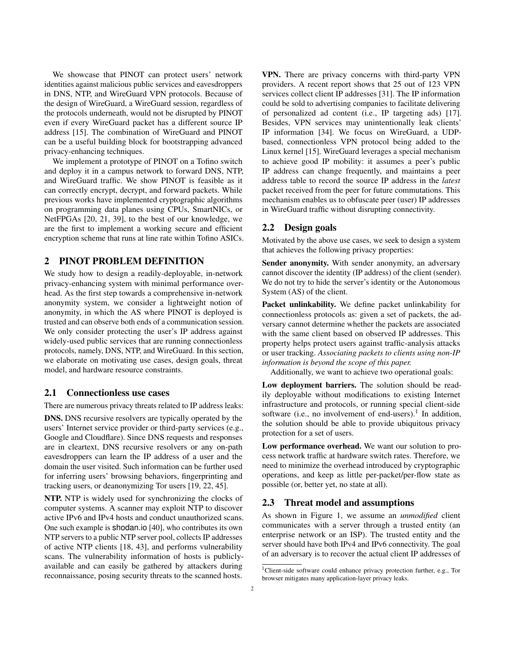We showcase that PINOT can protect users' network identities against malicious public services and eavesdroppers in DNS, NTP, and WireGuard VPN protocols. Because of the design of WireGuard, a WireGuard session, regardless of the protocols underneath, would not be disrupted by PINOT even if every WireGuard packet has a different source IP address [15]. The combination of WireGuard and PINOT can be a useful building block for bootstrapping advanced privacy-enhancing techniques.

We implement a prototype of PINOT on a Tofino switch and deploy it in a campus network to forward DNS, NTP, and WireGuard traffic. We show PINOT is feasible as it can correctly encrypt, decrypt, and forward packets. While previous works have implemented cryptographic algorithms on programming data planes using CPUs, SmartNICs, or NetFPGAs [20, 21, 39], to the best of our knowledge, we are the first to implement a working secure and efficient encryption scheme that runs at line rate within Tofino ASICs.

## 2 PINOT PROBLEM DEFINITION

We study how to design a readily-deployable, in-network privacy-enhancing system with minimal performance overhead. As the first step towards a comprehensive in-network anonymity system, we consider a lightweight notion of anonymity, in which the AS where PINOT is deployed is trusted and can observe both ends of a communication session. We only consider protecting the user's IP address against widely-used public services that are running connectionless protocols, namely, DNS, NTP, and WireGuard. In this section, we elaborate on motivating use cases, design goals, threat model, and hardware resource constraints.

#### 2.1 Connectionless use cases

There are numerous privacy threats related to IP address leaks:

DNS. DNS recursive resolvers are typically operated by the users' Internet service provider or third-party services (e.g., Google and Cloudflare). Since DNS requests and responses are in cleartext, DNS recursive resolvers or any on-path eavesdroppers can learn the IP address of a user and the domain the user visited. Such information can be further used for inferring users' browsing behaviors, fingerprinting and tracking users, or deanonymizing Tor users [19, 22, 45].

NTP. NTP is widely used for synchronizing the clocks of computer systems. A scanner may exploit NTP to discover active IPv6 and IPv4 hosts and conduct unauthorized scans. One such example is shodan.io [40], who contributes its own NTP servers to a public NTP server pool, collects IP addresses of active NTP clients [18, 43], and performs vulnerability scans. The vulnerability information of hosts is publiclyavailable and can easily be gathered by attackers during reconnaissance, posing security threats to the scanned hosts.

VPN. There are privacy concerns with third-party VPN providers. A recent report shows that 25 out of 123 VPN services collect client IP addresses [31]. The IP information could be sold to advertising companies to facilitate delivering of personalized ad content (i.e., IP targeting ads) [17]. Besides, VPN services may unintentionally leak clients' IP information [34]. We focus on WireGuard, a UDPbased, connectionless VPN protocol being added to the Linux kernel [15]. WireGuard leverages a special mechanism to achieve good IP mobility: it assumes a peer's public IP address can change frequently, and maintains a peer address table to record the source IP address in the *latest* packet received from the peer for future commutations. This mechanism enables us to obfuscate peer (user) IP addresses in WireGuard traffic without disrupting connectivity.

### 2.2 Design goals

Motivated by the above use cases, we seek to design a system that achieves the following privacy properties:

Sender anonymity. With sender anonymity, an adversary cannot discover the identity (IP address) of the client (sender). We do not try to hide the server's identity or the Autonomous System (AS) of the client.

Packet unlinkability. We define packet unlinkability for connectionless protocols as: given a set of packets, the adversary cannot determine whether the packets are associated with the same client based on observed IP addresses. This property helps protect users against traffic-analysis attacks or user tracking. *Associating packets to clients using non-IP information is beyond the scope of this paper.*

Additionally, we want to achieve two operational goals:

Low deployment barriers. The solution should be readily deployable without modifications to existing Internet infrastructure and protocols, or running special client-side software (i.e., no involvement of end-users).<sup>1</sup> In addition, the solution should be able to provide ubiquitous privacy protection for a set of users.

Low performance overhead. We want our solution to process network traffic at hardware switch rates. Therefore, we need to minimize the overhead introduced by cryptographic operations, and keep as little per-packet/per-flow state as possible (or, better yet, no state at all).

#### 2.3 Threat model and assumptions

As shown in Figure 1, we assume an *unmodified* client communicates with a server through a trusted entity (an enterprise network or an ISP). The trusted entity and the server should have both IPv4 and IPv6 connectivity. The goal of an adversary is to recover the actual client IP addresses of

<sup>&</sup>lt;sup>1</sup>Client-side software could enhance privacy protection further, e.g., Tor browser mitigates many application-layer privacy leaks.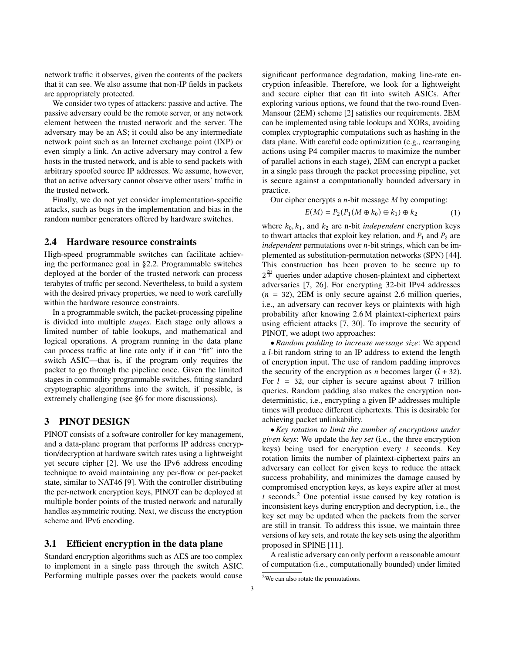network traffic it observes, given the contents of the packets that it can see. We also assume that non-IP fields in packets are appropriately protected.

We consider two types of attackers: passive and active. The passive adversary could be the remote server, or any network element between the trusted network and the server. The adversary may be an AS; it could also be any intermediate network point such as an Internet exchange point (IXP) or even simply a link. An active adversary may control a few hosts in the trusted network, and is able to send packets with arbitrary spoofed source IP addresses. We assume, however, that an active adversary cannot observe other users' traffic in the trusted network.

Finally, we do not yet consider implementation-specific attacks, such as bugs in the implementation and bias in the random number generators offered by hardware switches.

#### 2.4 Hardware resource constraints

High-speed programmable switches can facilitate achieving the performance goal in §2.2. Programmable switches deployed at the border of the trusted network can process terabytes of traffic per second. Nevertheless, to build a system with the desired privacy properties, we need to work carefully within the hardware resource constraints.

In a programmable switch, the packet-processing pipeline is divided into multiple *stages*. Each stage only allows a limited number of table lookups, and mathematical and logical operations. A program running in the data plane can process traffic at line rate only if it can "fit" into the switch ASIC—that is, if the program only requires the packet to go through the pipeline once. Given the limited stages in commodity programmable switches, fitting standard cryptographic algorithms into the switch, if possible, is extremely challenging (see §6 for more discussions).

# 3 PINOT DESIGN

PINOT consists of a software controller for key management, and a data-plane program that performs IP address encryption/decryption at hardware switch rates using a lightweight yet secure cipher [2]. We use the IPv6 address encoding technique to avoid maintaining any per-flow or per-packet state, similar to NAT46 [9]. With the controller distributing the per-network encryption keys, PINOT can be deployed at multiple border points of the trusted network and naturally handles asymmetric routing. Next, we discuss the encryption scheme and IPv6 encoding.

#### 3.1 Efficient encryption in the data plane

Standard encryption algorithms such as AES are too complex to implement in a single pass through the switch ASIC. Performing multiple passes over the packets would cause

significant performance degradation, making line-rate encryption infeasible. Therefore, we look for a lightweight and secure cipher that can fit into switch ASICs. After exploring various options, we found that the two-round Even-Mansour (2EM) scheme [2] satisfies our requirements. 2EM can be implemented using table lookups and XORs, avoiding complex cryptographic computations such as hashing in the data plane. With careful code optimization (e.g., rearranging actions using P4 compiler macros to maximize the number of parallel actions in each stage), 2EM can encrypt a packet in a single pass through the packet processing pipeline, yet is secure against a computationally bounded adversary in practice.

Our cipher encrypts a  $n$ -bit message  $M$  by computing:

$$
E(M) = P_2(P_1(M \oplus k_0) \oplus k_1) \oplus k_2 \tag{1}
$$

where  $k_0$ ,  $k_1$ , and  $k_2$  are n-bit *independent* encryption keys to thwart attacks that exploit key relation, and  $P_1$  and  $P_2$  are *independent* permutations over *n*-bit strings, which can be implemented as substitution-permutation networks (SPN) [44]. This construction has been proven to be secure up to  $2^{\frac{2n}{3}}$  queries under adaptive chosen-plaintext and ciphertext adversaries [7, 26]. For encrypting 32-bit IPv4 addresses  $(n = 32)$ , 2EM is only secure against 2.6 million queries, i.e., an adversary can recover keys or plaintexts with high probability after knowing 2.6 M plaintext-ciphertext pairs using efficient attacks [7, 30]. To improve the security of PINOT, we adopt two approaches:

• *Random padding to increase message size*: We append a *l*-bit random string to an IP address to extend the length of encryption input. The use of random padding improves the security of the encryption as *n* becomes larger  $(l + 32)$ . For  $l = 32$ , our cipher is secure against about 7 trillion queries. Random padding also makes the encryption nondeterministic, i.e., encrypting a given IP addresses multiple times will produce different ciphertexts. This is desirable for achieving packet unlinkability.

•*Key rotation to limit the number of encryptions under given keys*: We update the *key set* (i.e., the three encryption keys) being used for encryption every  $t$  seconds. Key rotation limits the number of plaintext-ciphertext pairs an adversary can collect for given keys to reduce the attack success probability, and minimizes the damage caused by compromised encryption keys, as keys expire after at most t seconds.<sup>2</sup> One potential issue caused by key rotation is inconsistent keys during encryption and decryption, i.e., the key set may be updated when the packets from the server are still in transit. To address this issue, we maintain three versions of key sets, and rotate the key sets using the algorithm proposed in SPINE [11].

A realistic adversary can only perform a reasonable amount of computation (i.e., computationally bounded) under limited

<sup>&</sup>lt;sup>2</sup>We can also rotate the permutations.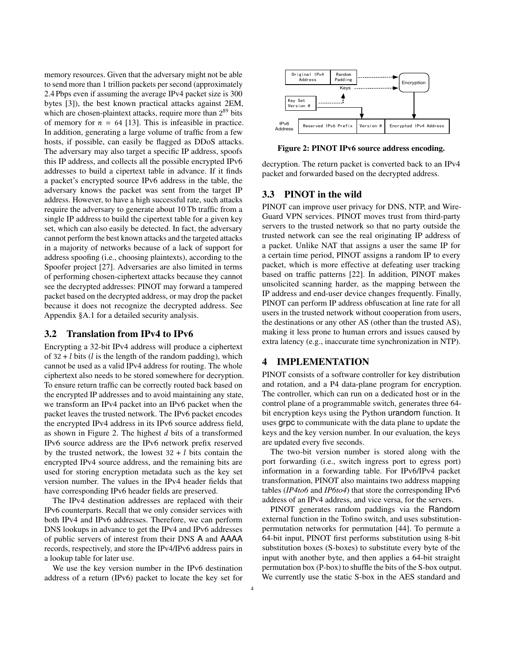memory resources. Given that the adversary might not be able to send more than 1 trillion packets per second (approximately 2.4 Pbps even if assuming the average IPv4 packet size is 300 bytes [3]), the best known practical attacks against 2EM, which are chosen-plaintext attacks, require more than 2<sup>89</sup> bits of memory for  $n = 64$  [13]. This is infeasible in practice. In addition, generating a large volume of traffic from a few hosts, if possible, can easily be flagged as DDoS attacks. The adversary may also target a specific IP address, spoofs this IP address, and collects all the possible encrypted IPv6 addresses to build a cipertext table in advance. If it finds a packet's encrypted source IPv6 address in the table, the adversary knows the packet was sent from the target IP address. However, to have a high successful rate, such attacks require the adversary to generate about 10 Tb traffic from a single IP address to build the cipertext table for a given key set, which can also easily be detected. In fact, the adversary cannot perform the best known attacks and the targeted attacks in a majority of networks because of a lack of support for address spoofing (i.e., choosing plaintexts), according to the Spoofer project [27]. Adversaries are also limited in terms of performing chosen-ciphertext attacks because they cannot see the decrypted addresses: PINOT may forward a tampered packet based on the decrypted address, or may drop the packet because it does not recognize the decrypted address. See Appendix §A.1 for a detailed security analysis.

#### 3.2 Translation from IPv4 to IPv6

Encrypting a 32-bit IPv4 address will produce a ciphertext of  $32 + l$  bits (*l* is the length of the random padding), which cannot be used as a valid IPv4 address for routing. The whole ciphertext also needs to be stored somewhere for decryption. To ensure return traffic can be correctly routed back based on the encrypted IP addresses and to avoid maintaining any state, we transform an IPv4 packet into an IPv6 packet when the packet leaves the trusted network. The IPv6 packet encodes the encrypted IPv4 address in its IPv6 source address field, as shown in Figure 2. The highest  $d$  bits of a transformed IPv6 source address are the IPv6 network prefix reserved by the trusted network, the lowest  $32 + l$  bits contain the encrypted IPv4 source address, and the remaining bits are used for storing encryption metadata such as the key set version number. The values in the IPv4 header fields that have corresponding IPv6 header fields are preserved.

The IPv4 destination addresses are replaced with their IPv6 counterparts. Recall that we only consider services with both IPv4 and IPv6 addresses. Therefore, we can perform DNS lookups in advance to get the IPv4 and IPv6 addresses of public servers of interest from their DNS A and AAAA records, respectively, and store the IPv4/IPv6 address pairs in a lookup table for later use.

We use the key version number in the IPv6 destination address of a return (IPv6) packet to locate the key set for



Figure 2: PINOT IPv6 source address encoding.

decryption. The return packet is converted back to an IPv4 packet and forwarded based on the decrypted address.

### 3.3 PINOT in the wild

PINOT can improve user privacy for DNS, NTP, and Wire-Guard VPN services. PINOT moves trust from third-party servers to the trusted network so that no party outside the trusted network can see the real originating IP address of a packet. Unlike NAT that assigns a user the same IP for a certain time period, PINOT assigns a random IP to every packet, which is more effective at defeating user tracking based on traffic patterns [22]. In addition, PINOT makes unsolicited scanning harder, as the mapping between the IP address and end-user device changes frequently. Finally, PINOT can perform IP address obfuscation at line rate for all users in the trusted network without cooperation from users, the destinations or any other AS (other than the trusted AS), making it less prone to human errors and issues caused by extra latency (e.g., inaccurate time synchronization in NTP).

### 4 IMPLEMENTATION

PINOT consists of a software controller for key distribution and rotation, and a P4 data-plane program for encryption. The controller, which can run on a dedicated host or in the control plane of a programmable switch, generates three 64 bit encryption keys using the Python urandom function. It uses grpc to communicate with the data plane to update the keys and the key version number. In our evaluation, the keys are updated every five seconds.

The two-bit version number is stored along with the port forwarding (i.e., switch ingress port to egress port) information in a forwarding table. For IPv6/IPv4 packet transformation, PINOT also maintains two address mapping tables (*IP4to6* and *IP6to4*) that store the corresponding IPv6 address of an IPv4 address, and vice versa, for the servers.

PINOT generates random paddings via the Random external function in the Tofino switch, and uses substitutionpermutation networks for permutation [44]. To permute a 64-bit input, PINOT first performs substitution using 8-bit substitution boxes (S-boxes) to substitute every byte of the input with another byte, and then applies a 64-bit straight permutation box (P-box) to shuffle the bits of the S-box output. We currently use the static S-box in the AES standard and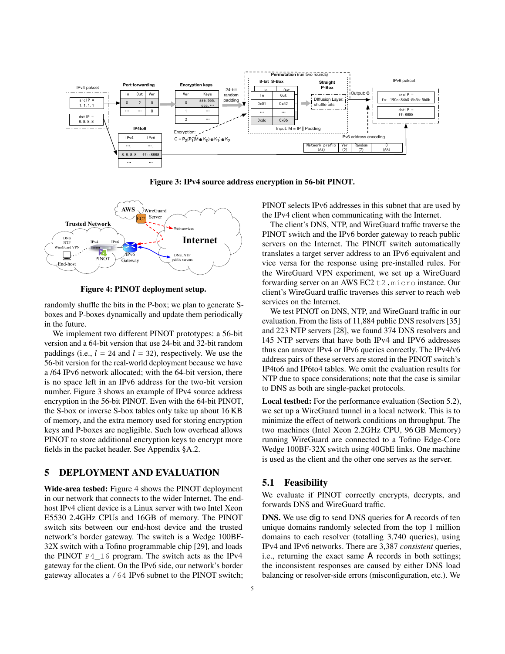

Figure 3: IPv4 source address encryption in 56-bit PINOT.



Figure 4: PINOT deployment setup.

randomly shuffle the bits in the P-box; we plan to generate Sboxes and P-boxes dynamically and update them periodically in the future.

We implement two different PINOT prototypes: a 56-bit version and a 64-bit version that use 24-bit and 32-bit random paddings (i.e.,  $l = 24$  and  $l = 32$ ), respectively. We use the 56-bit version for the real-world deployment because we have a /64 IPv6 network allocated; with the 64-bit version, there is no space left in an IPv6 address for the two-bit version number. Figure 3 shows an example of IPv4 source address encryption in the 56-bit PINOT. Even with the 64-bit PINOT, the S-box or inverse S-box tables only take up about 16 KB of memory, and the extra memory used for storing encryption keys and P-boxes are negligible. Such low overhead allows PINOT to store additional encryption keys to encrypt more fields in the packet header. See Appendix §A.2.

## 5 DEPLOYMENT AND EVALUATION

Wide-area tesbed: Figure 4 shows the PINOT deployment in our network that connects to the wider Internet. The endhost IPv4 client device is a Linux server with two Intel Xeon E5530 2.4GHz CPUs and 16GB of memory. The PINOT switch sits between our end-host device and the trusted network's border gateway. The switch is a Wedge 100BF-32X switch with a Tofino programmable chip [29], and loads the PINOT P4\_16 program. The switch acts as the IPv4 gateway for the client. On the IPv6 side, our network's border gateway allocates a /64 IPv6 subnet to the PINOT switch;

PINOT selects IPv6 addresses in this subnet that are used by the IPv4 client when communicating with the Internet.

The client's DNS, NTP, and WireGuard traffic traverse the PINOT switch and the IPv6 border gateway to reach public servers on the Internet. The PINOT switch automatically translates a target server address to an IPv6 equivalent and vice versa for the response using pre-installed rules. For the WireGuard VPN experiment, we set up a WireGuard forwarding server on an AWS EC2 t2.micro instance. Our client's WireGuard traffic traverses this server to reach web services on the Internet.

We test PINOT on DNS, NTP, and WireGuard traffic in our evaluation. From the lists of 11,884 public DNS resolvers [35] and 223 NTP servers [28], we found 374 DNS resolvers and 145 NTP servers that have both IPv4 and IPV6 addresses thus can answer IPv4 or IPv6 queries correctly. The IPv4/v6 address pairs of these servers are stored in the PINOT switch's IP4to6 and IP6to4 tables. We omit the evaluation results for NTP due to space considerations; note that the case is similar to DNS as both are single-packet protocols.

Local testbed: For the performance evaluation (Section 5.2), we set up a WireGuard tunnel in a local network. This is to minimize the effect of network conditions on throughput. The two machines (Intel Xeon 2.2GHz CPU, 96 GB Memory) running WireGuard are connected to a Tofino Edge-Core Wedge 100BF-32X switch using 40GbE links. One machine is used as the client and the other one serves as the server.

## 5.1 Feasibility

We evaluate if PINOT correctly encrypts, decrypts, and forwards DNS and WireGuard traffic.

DNS. We use dig to send DNS queries for A records of ten unique domains randomly selected from the top 1 million domains to each resolver (totalling 3,740 queries), using IPv4 and IPv6 networks. There are 3,387 *consistent* queries, i.e., returning the exact same A records in both settings; the inconsistent responses are caused by either DNS load balancing or resolver-side errors (misconfiguration, etc.). We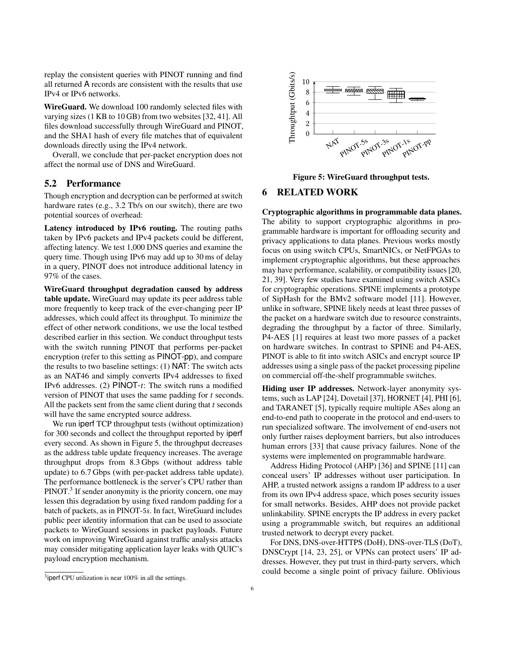replay the consistent queries with PINOT running and find all returned A records are consistent with the results that use IPv4 or IPv6 networks.

WireGuard. We download 100 randomly selected files with varying sizes (1 KB to 10 GB) from two websites [32, 41]. All files download successfully through WireGuard and PINOT, and the SHA1 hash of every file matches that of equivalent downloads directly using the IPv4 network.

Overall, we conclude that per-packet encryption does not affect the normal use of DNS and WireGuard.

## 5.2 Performance

Though encryption and decryption can be performed at switch hardware rates (e.g., 3.2 Tb/s on our switch), there are two potential sources of overhead:

Latency introduced by IPv6 routing. The routing paths taken by IPv6 packets and IPv4 packets could be different, affecting latency. We test 1,000 DNS queries and examine the query time. Though using IPv6 may add up to 30 ms of delay in a query, PINOT does not introduce additional latency in 97% of the cases.

WireGuard throughput degradation caused by address table update. WireGuard may update its peer address table more frequently to keep track of the ever-changing peer IP addresses, which could affect its throughput. To minimize the effect of other network conditions, we use the local testbed described earlier in this section. We conduct throughput tests with the switch running PINOT that performs per-packet encryption (refer to this setting as PINOT-pp), and compare the results to two baseline settings: (1) NAT: The switch acts as an NAT46 and simply converts IPv4 addresses to fixed IPv6 addresses. (2)  $PINOT-t$ : The switch runs a modified version of PINOT that uses the same padding for  $t$  seconds. All the packets sent from the same client during that  $t$  seconds will have the same encrypted source address.

We run iperf TCP throughput tests (without optimization) for 300 seconds and collect the throughput reported by iperf every second. As shown in Figure 5, the throughput decreases as the address table update frequency increases. The average throughput drops from 8.3 Gbps (without address table update) to 6.7 Gbps (with per-packet address table update). The performance bottleneck is the server's CPU rather than PINOT.<sup>3</sup> If sender anonymity is the priority concern, one may lessen this degradation by using fixed random padding for a batch of packets, as in PINOT-5s. In fact, WireGuard includes public peer identity information that can be used to associate packets to WireGuard sessions in packet payloads. Future work on improving WireGuard against traffic analysis attacks may consider mitigating application layer leaks with QUIC's payload encryption mechanism.



Figure 5: WireGuard throughput tests.

# 6 RELATED WORK

Cryptographic algorithms in programmable data planes. The ability to support cryptographic algorithms in programmable hardware is important for offloading security and privacy applications to data planes. Previous works mostly focus on using switch CPUs, SmartNICs, or NetFPGAs to implement cryptographic algorithms, but these approaches may have performance, scalability, or compatibility issues [20, 21, 39]. Very few studies have examined using switch ASICs for cryptographic operations. SPINE implements a prototype of SipHash for the BMv2 software model [11]. However, unlike in software, SPINE likely needs at least three passes of the packet on a hardware switch due to resource constraints, degrading the throughput by a factor of three. Similarly, P4-AES [1] requires at least two more passes of a packet on hardware switches. In contrast to SPINE and P4-AES, PINOT is able to fit into switch ASICs and encrypt source IP addresses using a single pass of the packet processing pipeline on commercial off-the-shelf programmable switches.

Hiding user IP addresses. Network-layer anonymity systems, such as LAP [24], Dovetail [37], HORNET [4], PHI [6], and TARANET [5], typically require multiple ASes along an end-to-end path to cooperate in the protocol and end-users to run specialized software. The involvement of end-users not only further raises deployment barriers, but also introduces human errors [33] that cause privacy failures. None of the systems were implemented on programmable hardware.

Address Hiding Protocol (AHP) [36] and SPINE [11] can conceal users' IP addresses without user participation. In AHP, a trusted network assigns a random IP address to a user from its own IPv4 address space, which poses security issues for small networks. Besides, AHP does not provide packet unlinkability. SPINE encrypts the IP address in every packet using a programmable switch, but requires an additional trusted network to decrypt every packet.

For DNS, DNS-over-HTTPS (DoH), DNS-over-TLS (DoT), DNSCrypt [14, 23, 25], or VPNs can protect users' IP addresses. However, they put trust in third-party servers, which could become a single point of privacy failure. Oblivious

<sup>&</sup>lt;sup>3</sup>iperf CPU utilization is near  $100\%$  in all the settings.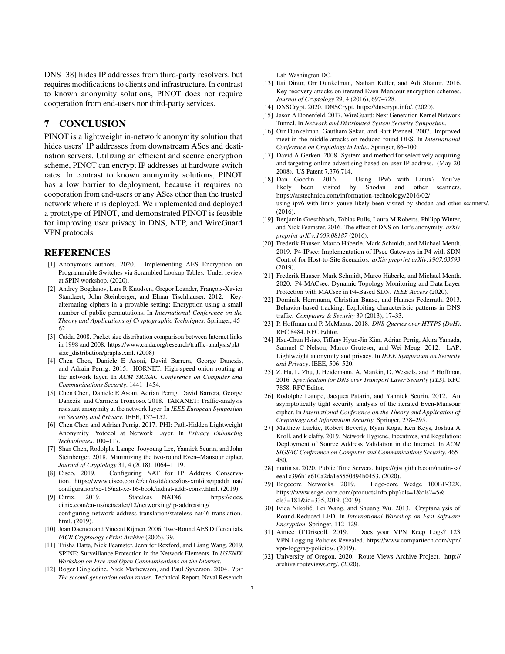DNS [38] hides IP addresses from third-party resolvers, but requires modifications to clients and infrastructure. In contrast to known anonymity solutions, PINOT does not require cooperation from end-users nor third-party services.

# 7 CONCLUSION

PINOT is a lightweight in-network anonymity solution that hides users' IP addresses from downstream ASes and destination servers. Utilizing an efficient and secure encryption scheme, PINOT can encrypt IP addresses at hardware switch rates. In contrast to known anonymity solutions, PINOT has a low barrier to deployment, because it requires no cooperation from end-users or any ASes other than the trusted network where it is deployed. We implemented and deployed a prototype of PINOT, and demonstrated PINOT is feasible for improving user privacy in DNS, NTP, and WireGuard VPN protocols.

#### **REFERENCES**

- [1] Anonymous authors. 2020. Implementing AES Encryption on Programmable Switches via Scrambled Lookup Tables. Under review at SPIN workshop. (2020).
- [2] Andrey Bogdanov, Lars R Knudsen, Gregor Leander, François-Xavier Standaert, John Steinberger, and Elmar Tischhauser. 2012. Keyalternating ciphers in a provable setting: Encryption using a small number of public permutations. In *International Conference on the Theory and Applications of Cryptographic Techniques*. Springer, 45– 62.
- [3] Caida. 2008. Packet size distribution comparison between Internet links in 1998 and 2008. https://www.caida.org/research/traffic-analysis/pkt\_ size\_distribution/graphs.xml. (2008).
- [4] Chen Chen, Daniele E Asoni, David Barrera, George Danezis, and Adrain Perrig. 2015. HORNET: High-speed onion routing at the network layer. In *ACM SIGSAC Conference on Computer and Communications Security*. 1441–1454.
- [5] Chen Chen, Daniele E Asoni, Adrian Perrig, David Barrera, George Danezis, and Carmela Troncoso. 2018. TARANET: Traffic-analysis resistant anonymity at the network layer. In *IEEE European Symposium on Security and Privacy*. IEEE, 137–152.
- [6] Chen Chen and Adrian Perrig. 2017. PHI: Path-Hidden Lightweight Anonymity Protocol at Network Layer. In *Privacy Enhancing Technologies*. 100–117.
- [7] Shan Chen, Rodolphe Lampe, Jooyoung Lee, Yannick Seurin, and John Steinberger. 2018. Minimizing the two-round Even–Mansour cipher. *Journal of Cryptology* 31, 4 (2018), 1064–1119.
- [8] Cisco. 2019. Configuring NAT for IP Address Conservation. https://www.cisco.com/c/en/us/td/docs/ios-xml/ios/ipaddr\_nat/ configuration/xe-16/nat-xe-16-book/iadnat-addr-consv.html. (2019).
- [9] Citrix. 2019. Stateless NAT46. https://docs. citrix.com/en-us/netscaler/12/networking/ip-addressing/ configuring-network-address-translation/stateless-nat46-translation. html. (2019).
- [10] Joan Daemen and Vincent Rijmen. 2006. Two-Round AES Differentials. *IACR Cryptology ePrint Archive* (2006), 39.
- [11] Trisha Datta, Nick Feamster, Jennifer Rexford, and Liang Wang. 2019. SPINE: Surveillance Protection in the Network Elements. In *USENIX Workshop on Free and Open Communications on the Internet*.
- [12] Roger Dingledine, Nick Mathewson, and Paul Syverson. 2004. *Tor: The second-generation onion router*. Technical Report. Naval Research

Lab Washington DC.

- [13] Itai Dinur, Orr Dunkelman, Nathan Keller, and Adi Shamir. 2016. Key recovery attacks on iterated Even-Mansour encryption schemes. *Journal of Cryptology* 29, 4 (2016), 697–728.
- [14] DNSCrypt. 2020. DNSCrypt. https://dnscrypt.info/. (2020).
- [15] Jason A Donenfeld. 2017. WireGuard: Next Generation Kernel Network Tunnel. In *Network and Distributed System Security Symposium*.
- [16] Orr Dunkelman, Gautham Sekar, and Bart Preneel. 2007. Improved meet-in-the-middle attacks on reduced-round DES. In *International Conference on Cryptology in India*. Springer, 86–100.
- [17] David A Gerken. 2008. System and method for selectively acquiring and targeting online advertising based on user IP address. (May 20 2008). US Patent 7,376,714.
- [18] Dan Goodin. 2016. Using IPv6 with Linux? You've likely been visited by Shodan and other scanners. https://arstechnica.com/information-technology/2016/02/ using-ipv6-with-linux-youve-likely-been-visited-by-shodan-and-other-scanners/.  $(2016)$ .
- [19] Benjamin Greschbach, Tobias Pulls, Laura M Roberts, Philipp Winter, and Nick Feamster. 2016. The effect of DNS on Tor's anonymity. *arXiv preprint arXiv:1609.08187* (2016).
- [20] Frederik Hauser, Marco Häberle, Mark Schmidt, and Michael Menth. 2019. P4-IPsec: Implementation of IPsec Gateways in P4 with SDN Control for Host-to-Site Scenarios. *arXiv preprint arXiv:1907.03593* (2019).
- [21] Frederik Hauser, Mark Schmidt, Marco Häberle, and Michael Menth. 2020. P4-MACsec: Dynamic Topology Monitoring and Data Layer Protection with MACsec in P4-Based SDN. *IEEE Access* (2020).
- [22] Dominik Herrmann, Christian Banse, and Hannes Federrath. 2013. Behavior-based tracking: Exploiting characteristic patterns in DNS traffic. *Computers & Security* 39 (2013), 17–33.
- [23] P. Hoffman and P. McManus. 2018. *DNS Queries over HTTPS (DoH)*. RFC 8484. RFC Editor.
- [24] Hsu-Chun Hsiao, Tiffany Hyun-Jin Kim, Adrian Perrig, Akira Yamada, Samuel C Nelson, Marco Gruteser, and Wei Meng. 2012. LAP: Lightweight anonymity and privacy. In *IEEE Symposium on Security and Privacy*. IEEE, 506–520.
- [25] Z. Hu, L. Zhu, J. Heidemann, A. Mankin, D. Wessels, and P. Hoffman. 2016. *Specification for DNS over Transport Layer Security (TLS)*. RFC 7858. RFC Editor.
- [26] Rodolphe Lampe, Jacques Patarin, and Yannick Seurin. 2012. An asymptotically tight security analysis of the iterated Even-Mansour cipher. In *International Conference on the Theory and Application of Cryptology and Information Security*. Springer, 278–295.
- [27] Matthew Luckie, Robert Beverly, Ryan Koga, Ken Keys, Joshua A Kroll, and k claffy. 2019. Network Hygiene, Incentives, and Regulation: Deployment of Source Address Validation in the Internet. In *ACM SIGSAC Conference on Computer and Communications Security*. 465– 480.
- [28] mutin sa. 2020. Public Time Servers. https://gist.github.com/mutin-sa/ eea1c396b1e610a2da1e5550d94b0453. (2020).
- [29] Edgecore Networks. 2019. Edge-core Wedge 100BF-32X. https://www.edge-core.com/productsInfo.php?cls=1&cls2=5& cls3=181&id=335,2019. (2019).
- [30] Ivica Nikolić, Lei Wang, and Shuang Wu. 2013. Cryptanalysis of Round-Reduced LED. In *International Workshop on Fast Software Encryption*. Springer, 112–129.
- [31] Aimee O'Driscoll. 2019. Does your VPN Keep Logs? 123 VPN Logging Policies Revealed. https://www.comparitech.com/vpn/ vpn-logging-policies/. (2019).
- [32] University of Oregon. 2020. Route Views Archive Project. http:// archive.routeviews.org/. (2020).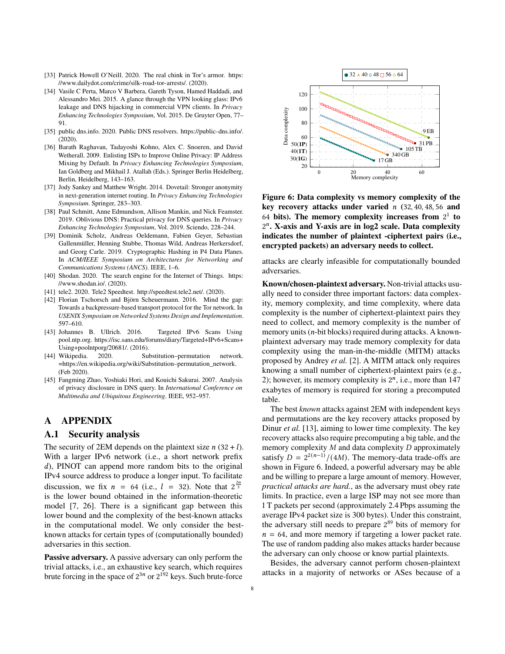- [33] Patrick Howell O'Neill. 2020. The real chink in Tor's armor. https: //www.dailydot.com/crime/silk-road-tor-arrests/. (2020).
- [34] Vasile C Perta, Marco V Barbera, Gareth Tyson, Hamed Haddadi, and Alessandro Mei. 2015. A glance through the VPN looking glass: IPv6 leakage and DNS hijacking in commercial VPN clients. In *Privacy Enhancing Technologies Symposium*, Vol. 2015. De Gruyter Open, 77– 91.
- [35] public dns.info. 2020. Public DNS resolvers. https://public-dns.info/. (2020).
- [36] Barath Raghavan, Tadayoshi Kohno, Alex C. Snoeren, and David Wetherall. 2009. Enlisting ISPs to Improve Online Privacy: IP Address Mixing by Default. In *Privacy Enhancing Technologies Symposium*, Ian Goldberg and Mikhail J. Atallah (Eds.). Springer Berlin Heidelberg, Berlin, Heidelberg, 143–163.
- [37] Jody Sankey and Matthew Wright. 2014. Dovetail: Stronger anonymity in next-generation internet routing. In *Privacy Enhancing Technologies Symposium*. Springer, 283–303.
- [38] Paul Schmitt, Anne Edmundson, Allison Mankin, and Nick Feamster. 2019. Oblivious DNS: Practical privacy for DNS queries. In *Privacy Enhancing Technologies Symposium*, Vol. 2019. Sciendo, 228–244.
- [39] Dominik Scholz, Andreas Oeldemann, Fabien Geyer, Sebastian Gallenmüller, Henning Stubbe, Thomas Wild, Andreas Herkersdorf, and Georg Carle. 2019. Cryptographic Hashing in P4 Data Planes. In *ACM/IEEE Symposium on Architectures for Networking and Communications Systems (ANCS)*. IEEE, 1–6.
- [40] Shodan. 2020. The search engine for the Internet of Things. https: //www.shodan.io/. (2020).
- [41] tele2. 2020. Tele2 Speedtest. http://speedtest.tele2.net/. (2020).
- [42] Florian Tschorsch and Björn Scheuermann. 2016. Mind the gap: Towards a backpressure-based transport protocol for the Tor network. In *USENIX Symposium on Networked Systems Design and Implementation*. 597–610.
- [43] Johannes B. Ullrich. 2016. Targeted IPv6 Scans Using pool.ntp.org. https://isc.sans.edu/forums/diary/Targeted+IPv6+Scans+ Using+poolntporg/20681/. (2016).
- [44] Wikipedia. 2020. Substitution–permutation network. =https://en.wikipedia.org/wiki/Substitution–permutation\_network. (Feb 2020).
- [45] Fangming Zhao, Yoshiaki Hori, and Kouichi Sakurai. 2007. Analysis of privacy disclosure in DNS query. In *International Conference on Multimedia and Ubiquitous Engineering*. IEEE, 952–957.

# A APPENDIX

#### A.1 Security analysis

The security of 2EM depends on the plaintext size  $n(32 + l)$ . With a larger IPv6 network (i.e., a short network prefix d), PINOT can append more random bits to the original IPv4 source address to produce a longer input. To facilitate discussion, we fix  $n = 64$  (i.e.,  $l = 32$ ). Note that  $2^{\frac{2n}{3}}$ is the lower bound obtained in the information-theoretic model [7, 26]. There is a significant gap between this lower bound and the complexity of the best-known attacks in the computational model. We only consider the bestknown attacks for certain types of (computationally bounded) adversaries in this section.

Passive adversary. A passive adversary can only perform the trivial attacks, i.e., an exhaustive key search, which requires brute forcing in the space of  $2^{3n}$  or  $2^{192}$  keys. Such brute-force



Figure 6: Data complexity vs memory complexity of the key recovery attacks under varied  $n(32, 40, 48, 56,$  and 64 bits). The memory complexity increases from  $2<sup>1</sup>$  to 2 . X-axis and Y-axis are in log2 scale. Data complexity indicates the number of plaintext -ciphertext pairs (i.e., encrypted packets) an adversary needs to collect.

attacks are clearly infeasible for computationally bounded adversaries.

Known/chosen-plaintext adversary. Non-trivial attacks usually need to consider three important factors: data complexity, memory complexity, and time complexity, where data complexity is the number of ciphertext-plaintext pairs they need to collect, and memory complexity is the number of memory units  $(n$ -bit blocks) required during attacks. A knownplaintext adversary may trade memory complexity for data complexity using the man-in-the-middle (MITM) attacks proposed by Andrey *et al.* [2]. A MITM attack only requires knowing a small number of ciphertext-plaintext pairs (e.g., 2); however, its memory complexity is  $2^n$ , i.e., more than 147 exabytes of memory is required for storing a precomputed table.

The best *known* attacks against 2EM with independent keys and permutations are the key recovery attacks proposed by Dinur *et al.* [13], aiming to lower time complexity. The key recovery attacks also require precomputing a big table, and the memory complexity  $M$  and data complexity  $D$  approximately satisfy  $D = 2^{2(n-1)}/(4M)$ . The memory-data trade-offs are shown in Figure 6. Indeed, a powerful adversary may be able and be willing to prepare a large amount of memory. However, *practical attacks are hard.*, as the adversary must obey rate limits. In practice, even a large ISP may not see more than 1 T packets per second (approximately 2.4 Pbps assuming the average IPv4 packet size is 300 bytes). Under this constraint, the adversary still needs to prepare  $2^{89}$  bits of memory for  $n = 64$ , and more memory if targeting a lower packet rate. The use of random padding also makes attacks harder because the adversary can only choose or know partial plaintexts.

Besides, the adversary cannot perform chosen-plaintext attacks in a majority of networks or ASes because of a